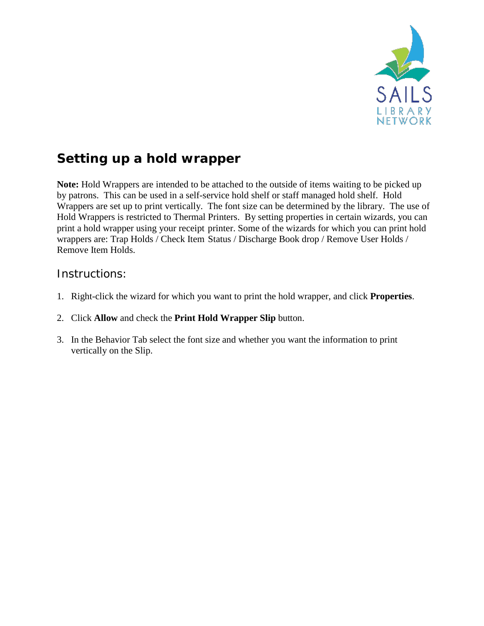

## **Setting up a hold wrapper**

**Note:** Hold Wrappers are intended to be attached to the outside of items waiting to be picked up by patrons. This can be used in a self-service hold shelf or staff managed hold shelf. Hold Wrappers are set up to print vertically. The font size can be determined by the library. The use of Hold Wrappers is restricted to Thermal Printers. By setting properties in certain wizards, you can print a hold wrapper using your receipt printer. Some of the wizards for which you can print hold wrappers are: Trap Holds / Check Item Status / Discharge Book drop / Remove User Holds / Remove Item Holds.

## Instructions:

- 1. Right-click the wizard for which you want to print the hold wrapper, and click **Properties**.
- 2. Click **Allow** and check the **Print Hold Wrapper Slip** button.
- 3. In the Behavior Tab select the font size and whether you want the information to print vertically on the Slip.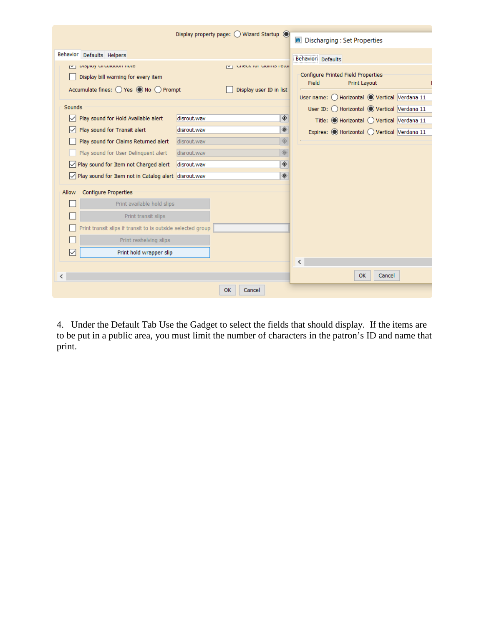|                                                                                                                         |             | Display property page: $\bigcirc$ Wizard Startup $\bigcirc$ |   | <b>WE Discharging: Set Properties</b>                                                    |
|-------------------------------------------------------------------------------------------------------------------------|-------------|-------------------------------------------------------------|---|------------------------------------------------------------------------------------------|
| Behavior<br>Defaults Helpers                                                                                            |             |                                                             |   | Behavior Defaults                                                                        |
| propidy on cuiddon moto<br>$\mathbf{N}$<br>Display bill warning for every item<br>Accumulate fines: ○ Yes ● No ○ Prompt |             | CITEUR TOT CRITITIO FEDER<br>Display user ID in list        |   | <b>Configure Printed Field Properties</b><br>Field<br><b>Print Layout</b>                |
| Sounds                                                                                                                  |             |                                                             |   | User name: O Horizontal O Vertical Verdana 11                                            |
| Play sound for Hold Available alert<br>∣✓∣                                                                              | disrout.wav |                                                             | ◈ | User ID: O Horizontal O Vertical Verdana 11<br>Title: ● Horizontal ● Vertical Verdana 11 |
| Play sound for Transit alert<br>$\checkmark$                                                                            | disrout.wav |                                                             | ◈ | Expires: ● Horizontal ● Vertical Verdana 11                                              |
| Play sound for Claims Returned alert                                                                                    | disrout.wav |                                                             | ◈ |                                                                                          |
| Play sound for User Delinquent alert                                                                                    | disrout.wav |                                                             | ◈ |                                                                                          |
| $\sqrt{\phantom{a}}$ Play sound for Item not Charged alert                                                              | disrout.wav |                                                             | ◈ |                                                                                          |
| Play sound for Item not in Catalog alert disrout.wav                                                                    |             |                                                             | ◈ |                                                                                          |
| <b>Configure Properties</b><br>Allow                                                                                    |             |                                                             |   |                                                                                          |
| Print available hold slips                                                                                              |             |                                                             |   |                                                                                          |
| Print transit slips                                                                                                     |             |                                                             |   |                                                                                          |
| Print transit slips if transit to is outside selected group                                                             |             |                                                             |   |                                                                                          |
| Print reshelving slips                                                                                                  |             |                                                             |   |                                                                                          |
| Print hold wrapper slip<br>∣✓                                                                                           |             |                                                             |   |                                                                                          |
|                                                                                                                         |             |                                                             |   | ≺                                                                                        |
| ⋖                                                                                                                       |             |                                                             |   | OK<br>Cancel                                                                             |
|                                                                                                                         |             | OK<br>Cancel                                                |   |                                                                                          |

4. Under the Default Tab Use the Gadget to select the fields that should display. If the items are to be put in a public area, you must limit the number of characters in the patron's ID and name that print.